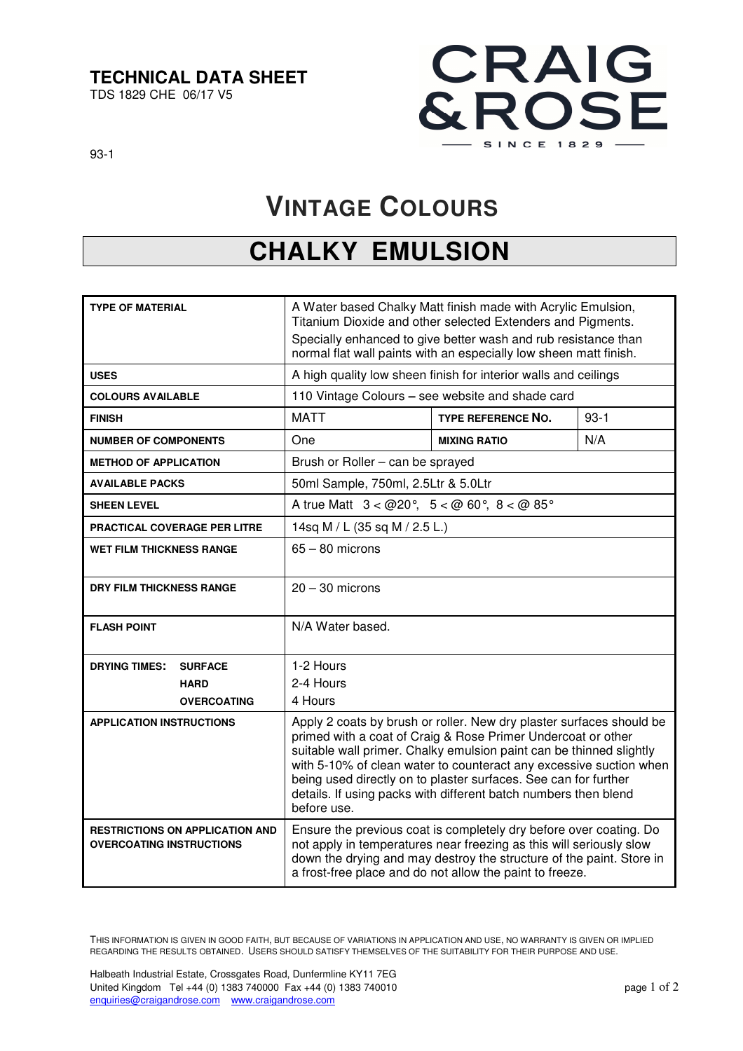#### **TECHNICAL DATA SHEET**

TDS 1829 CHE 06/17 V5



93-1

## **VINTAGE COLOURS**

### **CHALKY EMULSION**

| <b>TYPE OF MATERIAL</b>                                                   | A Water based Chalky Matt finish made with Acrylic Emulsion,<br>Titanium Dioxide and other selected Extenders and Pigments.<br>Specially enhanced to give better wash and rub resistance than<br>normal flat wall paints with an especially low sheen matt finish.                                                                                                                                                                     |                           |        |
|---------------------------------------------------------------------------|----------------------------------------------------------------------------------------------------------------------------------------------------------------------------------------------------------------------------------------------------------------------------------------------------------------------------------------------------------------------------------------------------------------------------------------|---------------------------|--------|
| <b>USES</b>                                                               | A high quality low sheen finish for interior walls and ceilings                                                                                                                                                                                                                                                                                                                                                                        |                           |        |
| <b>COLOURS AVAILABLE</b>                                                  | 110 Vintage Colours - see website and shade card                                                                                                                                                                                                                                                                                                                                                                                       |                           |        |
| <b>FINISH</b>                                                             | <b>MATT</b>                                                                                                                                                                                                                                                                                                                                                                                                                            | <b>TYPE REFERENCE NO.</b> | $93-1$ |
| <b>NUMBER OF COMPONENTS</b>                                               | One                                                                                                                                                                                                                                                                                                                                                                                                                                    | <b>MIXING RATIO</b>       | N/A    |
| <b>METHOD OF APPLICATION</b>                                              | Brush or Roller - can be sprayed                                                                                                                                                                                                                                                                                                                                                                                                       |                           |        |
| <b>AVAILABLE PACKS</b>                                                    | 50ml Sample, 750ml, 2.5Ltr & 5.0Ltr                                                                                                                                                                                                                                                                                                                                                                                                    |                           |        |
| <b>SHEEN LEVEL</b>                                                        | A true Matt $3 < 20^{\circ}$ , $5 < 20^{\circ}$ , $8 < 20^{\circ}$                                                                                                                                                                                                                                                                                                                                                                     |                           |        |
| <b>PRACTICAL COVERAGE PER LITRE</b>                                       | 14sq M / L (35 sq M / 2.5 L.)                                                                                                                                                                                                                                                                                                                                                                                                          |                           |        |
| <b>WET FILM THICKNESS RANGE</b>                                           | $65 - 80$ microns                                                                                                                                                                                                                                                                                                                                                                                                                      |                           |        |
| <b>DRY FILM THICKNESS RANGE</b>                                           | $20 - 30$ microns                                                                                                                                                                                                                                                                                                                                                                                                                      |                           |        |
| <b>FLASH POINT</b>                                                        | N/A Water based.                                                                                                                                                                                                                                                                                                                                                                                                                       |                           |        |
| <b>DRYING TIMES:</b><br><b>SURFACE</b>                                    | 1-2 Hours                                                                                                                                                                                                                                                                                                                                                                                                                              |                           |        |
| <b>HARD</b>                                                               | 2-4 Hours                                                                                                                                                                                                                                                                                                                                                                                                                              |                           |        |
| <b>OVERCOATING</b>                                                        | 4 Hours                                                                                                                                                                                                                                                                                                                                                                                                                                |                           |        |
| <b>APPLICATION INSTRUCTIONS</b>                                           | Apply 2 coats by brush or roller. New dry plaster surfaces should be<br>primed with a coat of Craig & Rose Primer Undercoat or other<br>suitable wall primer. Chalky emulsion paint can be thinned slightly<br>with 5-10% of clean water to counteract any excessive suction when<br>being used directly on to plaster surfaces. See can for further<br>details. If using packs with different batch numbers then blend<br>before use. |                           |        |
| <b>RESTRICTIONS ON APPLICATION AND</b><br><b>OVERCOATING INSTRUCTIONS</b> | Ensure the previous coat is completely dry before over coating. Do<br>not apply in temperatures near freezing as this will seriously slow<br>down the drying and may destroy the structure of the paint. Store in<br>a frost-free place and do not allow the paint to freeze.                                                                                                                                                          |                           |        |

THIS INFORMATION IS GIVEN IN GOOD FAITH, BUT BECAUSE OF VARIATIONS IN APPLICATION AND USE, NO WARRANTY IS GIVEN OR IMPLIED REGARDING THE RESULTS OBTAINED. USERS SHOULD SATISFY THEMSELVES OF THE SUITABILITY FOR THEIR PURPOSE AND USE.